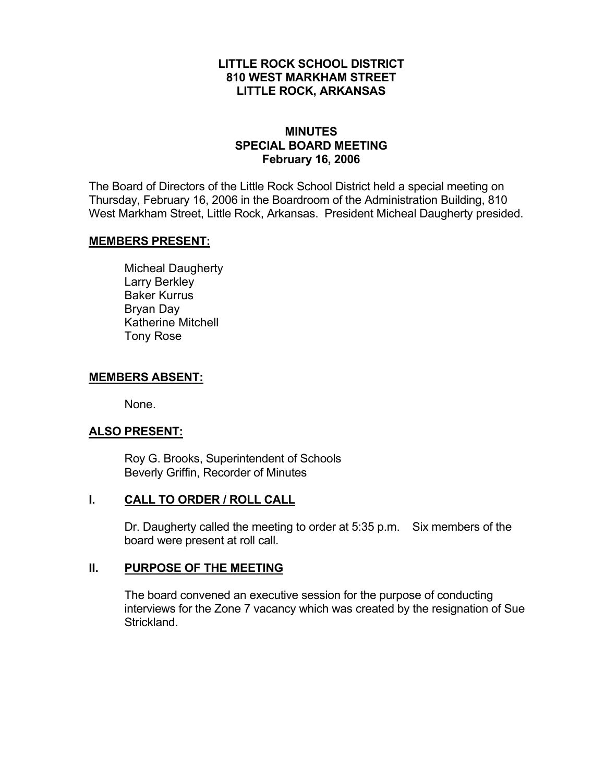#### **LITTLE ROCK SCHOOL DISTRICT 810 WEST MARKHAM STREET LITTLE ROCK, ARKANSAS**

#### **MINUTES SPECIAL BOARD MEETING February 16, 2006**

The Board of Directors of the Little Rock School District held a special meeting on Thursday, February 16, 2006 in the Boardroom of the Administration Building, 810 West Markham Street, Little Rock, Arkansas. President Micheal Daugherty presided.

#### **MEMBERS PRESENT:**

Micheal Daugherty Larry Berkley Baker Kurrus Bryan Day Katherine Mitchell Tony Rose

#### **MEMBERS ABSENT:**

None.

## **ALSO PRESENT:**

 Roy G. Brooks, Superintendent of Schools Beverly Griffin, Recorder of Minutes

## **I. CALL TO ORDER / ROLL CALL**

Dr. Daugherty called the meeting to order at 5:35 p.m. Six members of the board were present at roll call.

## **II. PURPOSE OF THE MEETING**

The board convened an executive session for the purpose of conducting interviews for the Zone 7 vacancy which was created by the resignation of Sue Strickland.